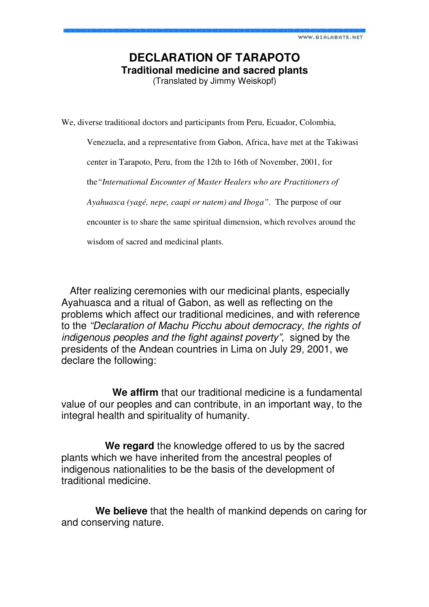## **DECLARATION OF TARAPOTO Traditional medicine and sacred plants**

(Translated by Jimmy Weiskopf)

We, diverse traditional doctors and participants from Peru, Ecuador, Colombia,

Venezuela, and a representative from Gabon, Africa, have met at the Takiwasi

center in Tarapoto, Peru, from the 12th to 16th of November, 2001, for

the*"International Encounter of Master Healers who are Practitioners of* 

*Ayahuasca (yagé, nepe, caapi or natem) and Iboga"*. The purpose of our

encounter is to share the same spiritual dimension, which revolves around the

wisdom of sacred and medicinal plants.

 After realizing ceremonies with our medicinal plants, especially Ayahuasca and a ritual of Gabon, as well as reflecting on the problems which affect our traditional medicines, and with reference to the "Declaration of Machu Picchu about democracy, the rights of indigenous peoples and the fight against poverty", signed by the presidents of the Andean countries in Lima on July 29, 2001, we declare the following:

 **We affirm** that our traditional medicine is a fundamental value of our peoples and can contribute, in an important way, to the integral health and spirituality of humanity.

 **We regard** the knowledge offered to us by the sacred plants which we have inherited from the ancestral peoples of indigenous nationalities to be the basis of the development of traditional medicine.

 **We believe** that the health of mankind depends on caring for and conserving nature.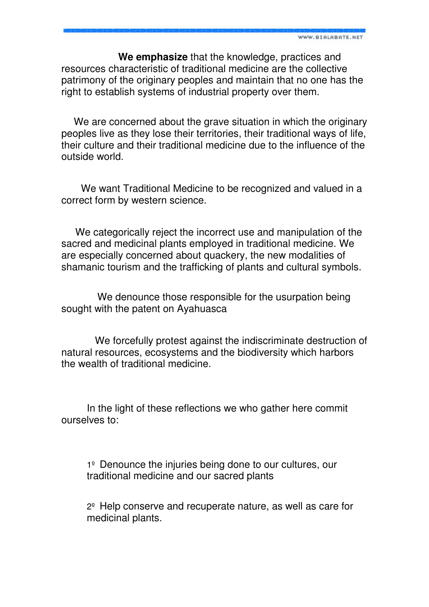**We emphasize** that the knowledge, practices and resources characteristic of traditional medicine are the collective patrimony of the originary peoples and maintain that no one has the right to establish systems of industrial property over them.

 We are concerned about the grave situation in which the originary peoples live as they lose their territories, their traditional ways of life, their culture and their traditional medicine due to the influence of the outside world.

 We want Traditional Medicine to be recognized and valued in a correct form by western science.

 We categorically reject the incorrect use and manipulation of the sacred and medicinal plants employed in traditional medicine. We are especially concerned about quackery, the new modalities of shamanic tourism and the trafficking of plants and cultural symbols.

 We denounce those responsible for the usurpation being sought with the patent on Ayahuasca

 We forcefully protest against the indiscriminate destruction of natural resources, ecosystems and the biodiversity which harbors the wealth of traditional medicine.

In the light of these reflections we who gather here commit ourselves to:

1º Denounce the injuries being done to our cultures, our traditional medicine and our sacred plants

2º Help conserve and recuperate nature, as well as care for medicinal plants.